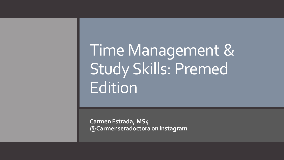# Time Management & Study Skills: Premed Edition

**Carmen Estrada, MS4 @Carmenseradoctora on Instagram**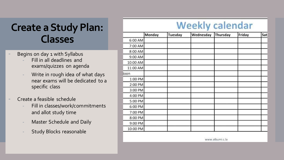#### **Create a Study Plan: Classes**

- Begins on day 1 with Syllabus
	- Fill in all deadlines and exams/quizzes on agenda
	- Write in rough idea of what days near exams will be dedicated to a specific class
	- Create a feasible schedule
		- Fill in classes/work/commitments and allot study time
		- Master Schedule and Daily
		- Study Blocks reasonable

#### **Weekly calendar**

|          | Monday | Tuesday | Wednesday | Thursday | Friday | Sat |
|----------|--------|---------|-----------|----------|--------|-----|
| 6:00 AM  |        |         |           |          |        |     |
| 7:00 AM  |        |         |           |          |        |     |
| 8:00 AM  |        |         |           |          |        |     |
| 9:00 AM  |        |         |           |          |        |     |
| 10:00 AM |        |         |           |          |        |     |
| 11:00 AM |        |         |           |          |        |     |
| loon     |        |         |           |          |        |     |
| 1:00 PM  |        |         |           |          |        |     |
| 2:00 PM  |        |         |           |          |        |     |
| 3:00 PM  |        |         |           |          |        |     |
| 4:00 PM  |        |         |           |          |        |     |
| 5:00 PM  |        |         |           |          |        |     |
| 6:00 PM  |        |         |           |          |        |     |
| 7:00 PM  |        |         |           |          |        |     |
| 8:00 PM  |        |         |           |          |        |     |
| 9:00 PM  |        |         |           |          |        |     |
| 10:00 PM |        |         |           |          |        |     |

www.albumi.c.la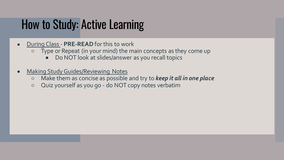## How to Study: Active Learning

- During Class **PRE-READ** for this to work
	- Type or Repeat (in your mind) the main concepts as they come up
		- Do NOT look at slides/answer as you recall topics
- **Making Study Guides/Reviewing Notes** 
	- Make them as concise as possible and try to *keep it all in one place*
	- Quiz yourself as you go do NOT copy notes verbatim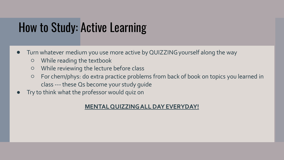## How to Study: Active Learning

- Turn whatever medium you use more active by QUIZZING yourself along the way
	- While reading the textbook
	- While reviewing the lecture before class
	- For chem/phys: do extra practice problems from back of book on topics you learned in class --- these Qs become your study guide
- Try to think what the professor would quiz on

#### **MENTAL QUIZZING ALL DAY EVERYDAY!**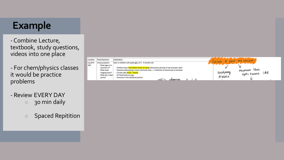#### **Example**

- Combine Lecture, textbook, study questions, videos into one place

- For chem/physics classes it would be practice problems

- Review EVERY DAY
	- **30 min daily**
	- Spaced Repitition

| location | Topic/Question    | Explanation                                                                              | Đ.          | pass me conjum                                                                                                         |     |
|----------|-------------------|------------------------------------------------------------------------------------------|-------------|------------------------------------------------------------------------------------------------------------------------|-----|
| ec2/FA   | Intussusception   | Seen in children with peak ages of 3 - 6 months old                                      |             | <b>The contract of the contract of the contract of the contract of the contract of the contract of the contract of</b> |     |
| 356      | - What ages is it |                                                                                          |             |                                                                                                                        |     |
|          | common in?        | - Children have intermittent bouts of crying followed by periods of rest and pain relief |             |                                                                                                                        |     |
|          | - What does       | - lleocecal telescoping is most commonly seen --- > infarction of bowel due to ischemia  |             | Meconium Ileus                                                                                                         |     |
|          | imaging show?     | - Currant jelly stools - bloody                                                          | Hirschpnung | custre Fibrosis                                                                                                        | (AR |
|          | - What are 2 lead | - Air fluid levels on xray                                                               |             |                                                                                                                        |     |
|          | points?           | - Common in the ileocecal junction                                                       | discase     |                                                                                                                        |     |
|          |                   | <b>ALLAVINAS</b>                                                                         |             |                                                                                                                        |     |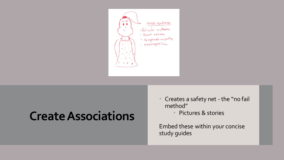

### **Create Associations**

- Creates a safety net the "no fail method"
	- Pictures & stories

Embed these within your concise study guides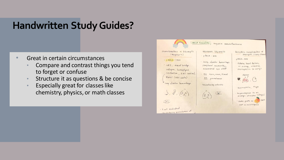#### **Handwritten Study Guides?**

- Great in certain circumstances
	- Compare and contrast things you tend to forget or confuse
	- Structure it as questions & be concise
	- Especially great for classes like chemistry, physics, or math classes

| Granulomatosis w/ Poly angitis<br>(Wegener's)<br>CANCA (PR3)<br>· URI, nasal bridge<br>collapse, hemophysis<br>cavitation, ENT involved,<br>Renal (RBC casts)<br>Jung alveolar hemorrhage<br>3, 3, (4, 4)<br>$\circ$ | Microscopic Polyangitis<br>· PANCA - MPO<br>· Lung, alveolar hemorrhage,<br>pempheral neuropathy,<br>occassional eye stuff<br>. No cars, nose, throat<br>NO granulomas<br>· Necrotizing arteritie<br>(代) 1 | Eosinophilic Granulomatosis W<br>polyangitis (churg-strauss)<br>$\cdot$ p ANCA - MPO<br>· Asthma, heart failure,<br>$61$ , kidney, sinusitis,<br>eosinophilia in Lungs<br>$\bullet, \overbrace{\mathscr{G}_n \mathscr{G}}^{\text{where}}$ . G<br>Easinophilia, 11gE<br>hyperresponse to an<br>allergic stimulus (drugs)<br>Same path as  PAN<br>but w/eaisin ophils |
|----------------------------------------------------------------------------------------------------------------------------------------------------------------------------------------------------------------------|------------------------------------------------------------------------------------------------------------------------------------------------------------------------------------------------------------|---------------------------------------------------------------------------------------------------------------------------------------------------------------------------------------------------------------------------------------------------------------------------------------------------------------------------------------------------------------------|
|----------------------------------------------------------------------------------------------------------------------------------------------------------------------------------------------------------------------|------------------------------------------------------------------------------------------------------------------------------------------------------------------------------------------------------------|---------------------------------------------------------------------------------------------------------------------------------------------------------------------------------------------------------------------------------------------------------------------------------------------------------------------------------------------------------------------|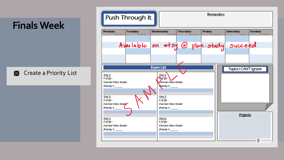#### **Finals Week**

**S** Create a Priority List

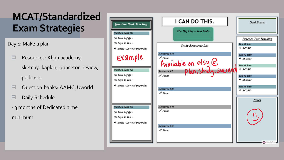Day 1: Make a plan

- Resources: Khan academy, sketchy, kaplan, princeton review, podcasts
- Question banks: AAMC, Uworld
- Daily Schedule
- 3 months of Dedicated time

minimum

| <b>Question Bank Tracking</b>                                               | I CAN DO THIS.                      | <b>Goal Score:</b>             |
|-----------------------------------------------------------------------------|-------------------------------------|--------------------------------|
| <b>Ouestion Bank #1:</b>                                                    | The Big Day - Test Date:            |                                |
| (A) Total # of $Qs =$<br>$(B)$ Days 'til Test =                             |                                     | <b>Practice Test Tracking</b>  |
| $\bullet$ Divide $A/B = \# of Qs$ per day                                   | <b>Study Resources List</b>         | Test #1 date:<br>$\div$ SCORE: |
| Example                                                                     | Resource #1:<br>$\mathscr{P}$ Plan: | Test #2 date:<br>$\div$ SCORE: |
| <b>Ouestion Bank #2:</b>                                                    | Available on etsy @<br>Resource #2: | Test #3 date:<br>$\div$ SCORE: |
| (A) Total # of $Qs =$<br>$(B)$ Days 'til Test =                             | $\mathscr{P}$ Plan:                 | Test #4 date:<br>$\div$ SCORE: |
| $\stackrel{\bullet}{\bullet}$ Divide $A/B = \# of Os$ per day               | Resource #3:<br>$\mathscr{P}$ Plan: | Test #5 date:<br>$\div$ SCORE: |
|                                                                             |                                     | <b>Notes</b>                   |
| <b>Ouestion Bank #3:</b><br>(A) Total # of $Os =$<br>$(B)$ Days 'til Test = | Resource #4:<br>$\mathscr{P}$ Plan: |                                |
| $\bullet$ Divide $A/B = \# of Qs$ per day                                   | Resource #5:<br>$\mathscr{P}$ Plan: |                                |
|                                                                             |                                     | CanadosDetro                   |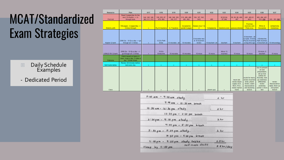- Daily Schedule **Examples**
- Dedicated Period

| Resource         | Plan                                                                            | 6/17                          | 6/18                    | 6/19                          | 6/20                         | 6/21                                       | 6/22             | 6/23                  | 6/24                                                                                     | 6/25                                                                                                              | 6/26                                                                                                                                                                        | 6/27                                                               |
|------------------|---------------------------------------------------------------------------------|-------------------------------|-------------------------|-------------------------------|------------------------------|--------------------------------------------|------------------|-----------------------|------------------------------------------------------------------------------------------|-------------------------------------------------------------------------------------------------------------------|-----------------------------------------------------------------------------------------------------------------------------------------------------------------------------|--------------------------------------------------------------------|
| First Aid        | Read 5 pages/day for the<br>next 10 months $\rightarrow$ 2x<br>through book     | 344, 345, 346.<br>463.511.512 | 338, 525, 87<br>478.484 | 348, 349, 350<br>342.517      | 510, 488, 489.<br>491.492    | 164, 167, 542.<br>5431                     | 490              | 92.93.94<br>87.348    | 90.89.88.406.<br>497                                                                     | (481, 483.61)<br>4631                                                                                             | 493.494.481<br>533, 532                                                                                                                                                     | 243, 283, 561                                                      |
| Sketchy odfs     | 159 pages - 2 pages/day --><br>3 times through                                  | $\mathbf{x}$                  |                         | Po 2-5 bacteria 6, 7 bacteria | toxoplasma<br>gondii 2 pages | herpes virus 1 &<br>$-2$                   | histoplasma      |                       | blastomycosis paracoccidiodes                                                            | Picornae<br>overview and<br>Polio virus                                                                           | Rhino &<br>Consackie                                                                                                                                                        | (entaemobal)<br>histolytica)                                       |
| Kaplan Q bank    | 2098 Qs - 10 Qs a day --> go<br>through all 1.5 times                           | $\mathbf{x}$                  | 12 O's Path<br>Endo     | 15 microbio - all             | 10 microbio                  | 9 microbio new<br>& 10 incorrect<br>review | 10 biochem - all | biochem               | 8 biochem                                                                                | 10 biochem - all<br>Q types, 6 Endo<br>Physio Incorrect Path incorrect,                                           | 6 Endocrine<br>a long time ago   10 biochem-all   10 immunology                                                                                                             |                                                                    |
| USMLE-RX Q bank  | 2059 Qs - 10 Qs a day ---><br>go through all 1.5 times                          | ×                             | 10 Q's<br>Endocrine     | 10 microbio                   | 10 microbio                  | 10 micro                                   | 15 micro         | Micro 13<br>incorrect | 15 micro                                                                                 | 10 micro                                                                                                          | 10 micro. 5<br>biochem                                                                                                                                                      | 15 micro                                                           |
| Pathoma          | Watch based on topics in<br>class. 4 pgs a day; 2 video a<br>day - Winter break |                               |                         |                               |                              |                                            |                  |                       |                                                                                          |                                                                                                                   |                                                                                                                                                                             |                                                                    |
| Self-made tables | Review 30 minutes before<br>bed every day                                       | $\infty$                      |                         |                               | ×                            |                                            | ×                | $\mathbf{x}$          |                                                                                          | $\infty$                                                                                                          |                                                                                                                                                                             | $\mathbf{x}$ .                                                     |
| <b>Class</b>     |                                                                                 |                               |                         |                               |                              |                                            | pharm quiz       |                       | neuro lab.<br>review blood<br>supply ACA.<br><b>MCA, PCA.</b><br>review Spinal<br>tracts | nuclei for neuro.<br>review incorrect<br>endo, pharm<br>review, watch<br>neuroscience<br>and doctoring<br>lecture | how to present<br>an oral<br>presentation.<br>set up nice<br>clothes for<br>thursday, look<br>up weakness<br>differential.<br>review<br>yesterday<br>usmle rx micro<br>test | review<br>Neuroscience<br>table, finish up<br>2nd pharm<br>lecture |

 $7:00$  am - 9:00 am study  $2 hr$  $9:90$  am - 10:30 am break  $10:30$  am - 12:30 pm study  $2hr$  $12:30 \text{ pm} - 2:00 \text{ pm}$  break  $2:00 \text{ pm} - 4:00 \text{ pm}$  study.  $2hr$  $4:00 \text{ pm} - 5:30 \text{ pm}$  break  $5:30~\mu m - 7:30~\mu m$  study  $2.hr$  $7:30 \text{ pm} - 9:00 \text{ pm}$  break  $9:00 \text{ pm} - 9:30 \text{ pm}$  study tables  $0.5hr$ self made decks  $8.5<sub>hr</sub>/day$ Sleep by 11:00 pm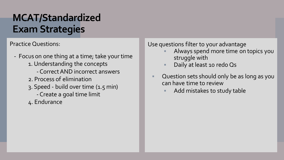Practice Questions:

- Focus on one thing at a time; take your time 1. Understanding the concepts
	- Correct AND incorrect answers
	- 2. Process of elimination
	- 3. Speed build over time (1.5 min)
		- Create a goal time limit
	- 4. Endurance

Use questions filter to your advantage

- Always spend more time on topics you struggle with
- Daily at least 10 redo Qs
- Question sets should only be as long as you can have time to review
	- Add mistakes to study table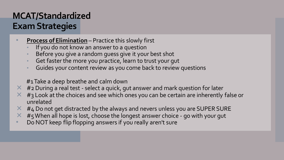- **Process of Elimination** Practice this slowly first
	- If you do not know an answer to a question
	- Before you give a random guess give it your best shot
	- Get faster the more you practice, learn to trust your gut
	- Guides your content review as you come back to review questions

#1 Take a deep breathe and calm down

- $\times$  #2 During a real test select a quick, gut answer and mark question for later
- $\times$  #3 Look at the choices and see which ones you can be certain are inherently false or unrelated
- $\times$  #4 Do not get distracted by the always and nevers unless you are SUPER SURE
- $\times$  #5 When all hope is lost, choose the longest answer choice go with your gut
- Do NOT keep flip flopping answers if you really aren't sure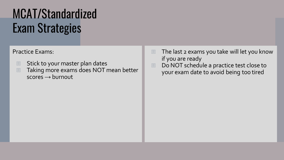#### Practice Exams:

- Stick to your master plan dates
- Taking more exams does NOT mean better scores → burnout
- $\Box$  The last 2 exams you take will let you know if you are ready
- Do NOT schedule a practice test close to your exam date to avoid being too tired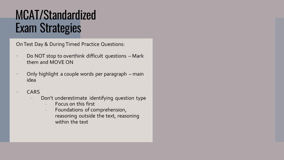On Test Day & During Timed Practice Questions:

- Do NOT stop to overthink difficult questions Mark them and MOVE ON
- Only highlight a couple words per paragraph main idea
- **CARS** 
	- Don't underestimate identifying question type
		- Focus on this first
		- Foundations of comprehension, reasoning outside the text, reasoning within the text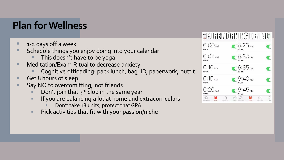#### **Plan for Wellness**

- 1-2 days off a week
- Schedule things you enjoy doing into your calendar
	- This doesn't have to be yoga
- Meditation/Exam Ritual to decrease anxiety
	- Cognitive offloading: pack lunch, bag, ID, paperwork, outfit
- Get 8 hours of sleep
- Say NO to overcomitting, not friends
	- Don't join that  $3^{rd}$  club in the same year
	- If you are balancing a lot at home and extracurriculars
		- Don't take 18 units, protect that GPA
	- **EXEDE:** Pick activities that fit with your passion/niche

|                                   | <b>HRUREMORNINA DENINE</b>     |                    |
|-----------------------------------|--------------------------------|--------------------|
| 6:00 AM<br>Alarm                  | 6:25 <sub>AM</sub>             |                    |
| 6:05 AM<br>Alarm                  | $-6:30$ am                     |                    |
| <b>6:10 АМ</b><br>Alarm           | $\bigcirc$ 6:35 AM             |                    |
| 6:15 AM<br>Alarm                  | $-6:40AM$                      |                    |
| 6:20 AM<br>Alarm                  | 6:45 AM<br>Alarm               |                    |
| Joild Clock<br>Alarm<br>Stopwatch | dorld Clock<br>Alarm.<br>Timer | Stoowsteh<br>Timpe |